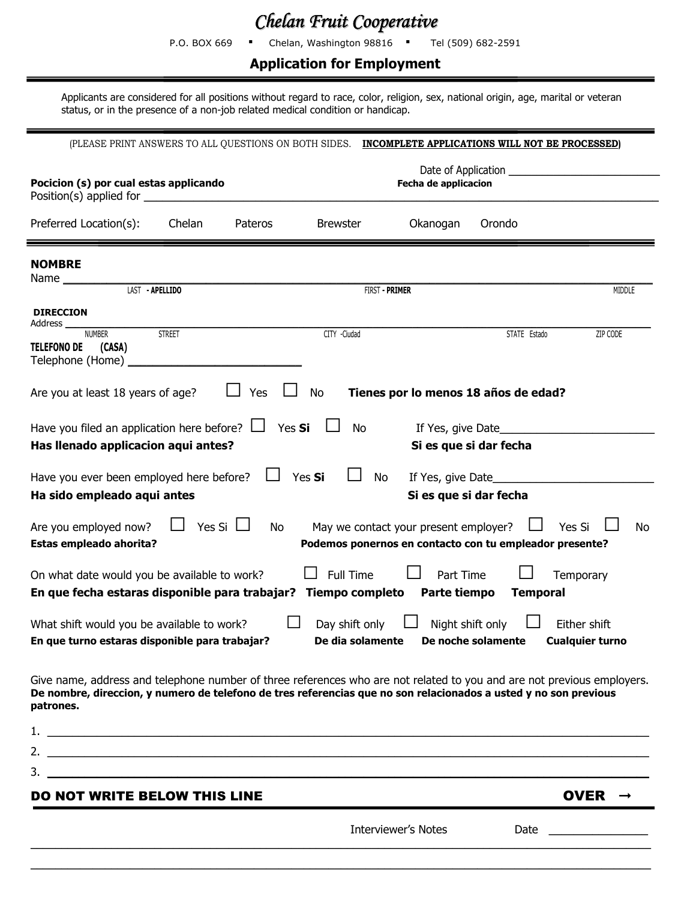P.O. BOX 669 • Chelan, Washington 98816 • Tel (509) 682-2591

# Application for Employment

 Applicants are considered for all positions without regard to race, color, religion, sex, national origin, age, marital or veteran status, or in the presence of a non-job related medical condition or handicap.

| (PLEASE PRINT ANSWERS TO ALL QUESTIONS ON BOTH SIDES. INCOMPLETE APPLICATIONS WILL NOT BE PROCESSED)                                                                                                                                                    |                             |                              |                                                     |              |  |  |  |
|---------------------------------------------------------------------------------------------------------------------------------------------------------------------------------------------------------------------------------------------------------|-----------------------------|------------------------------|-----------------------------------------------------|--------------|--|--|--|
| Pocicion (s) por cual estas applicando                                                                                                                                                                                                                  | <b>Fecha de applicacion</b> |                              |                                                     |              |  |  |  |
| Preferred Location(s):<br>Chelan<br>Pateros                                                                                                                                                                                                             | <b>Brewster</b>             | Okanogan                     | Orondo                                              |              |  |  |  |
| <b>NOMBRE</b><br>Name $\_\_$                                                                                                                                                                                                                            |                             |                              |                                                     |              |  |  |  |
| LAST - APELLIDO                                                                                                                                                                                                                                         |                             | FIRST - PRIMER               |                                                     |              |  |  |  |
| <b>DIRECCION</b><br>Address _<br><b>STREET</b><br><b>NUMBER</b><br><b>TELEFONO DE</b><br>(CASA)                                                                                                                                                         | CITY -Ciudad                |                              | STATE Estado                                        | ZIP CODE     |  |  |  |
| Telephone (Home) _                                                                                                                                                                                                                                      |                             |                              |                                                     |              |  |  |  |
| Yes<br>Are you at least 18 years of age?                                                                                                                                                                                                                | No                          |                              | Tienes por lo menos 18 años de edad?                |              |  |  |  |
| Have you filed an application here before? $\Box$ Yes Si<br>Has Ilenado applicacion aqui antes?                                                                                                                                                         | No                          |                              | Si es que si dar fecha                              |              |  |  |  |
| Have you ever been employed here before?<br>Ha sido empleado aqui antes                                                                                                                                                                                 | Yes Si                      | No<br>Si es que si dar fecha |                                                     |              |  |  |  |
| Yes Si $\Box$<br>May we contact your present employer?<br>Yes Si<br>Are you employed now?<br>No<br><b>No</b><br><b>Estas empleado ahorita?</b><br>Podemos ponernos en contacto con tu empleador presente?                                               |                             |                              |                                                     |              |  |  |  |
| On what date would you be available to work?<br>En que fecha estaras disponible para trabajar? Tiempo completo                                                                                                                                          | Full Time                   | Part Time<br>Parte tiempo    | <b>Temporal</b>                                     | Temporary    |  |  |  |
| What shift would you be available to work?<br>En que turno estaras disponible para trabajar?                                                                                                                                                            | Day shift only              | $\Box$ Night shift only      | De dia solamente be noche solamente bualquier turno | Either shift |  |  |  |
| Give name, address and telephone number of three references who are not related to you and are not previous employers.<br>De nombre, direccion, y numero de telefono de tres referencias que no son relacionados a usted y no son previous<br>patrones. |                             |                              |                                                     |              |  |  |  |
|                                                                                                                                                                                                                                                         |                             |                              |                                                     |              |  |  |  |
|                                                                                                                                                                                                                                                         |                             |                              |                                                     |              |  |  |  |

# DO NOT WRITE BELOW THIS LINE  $\rightarrow$

3. \_\_\_\_\_\_\_\_\_\_\_\_\_\_\_\_\_\_\_\_\_\_\_\_\_\_\_\_\_\_\_\_\_\_\_\_\_\_\_\_\_\_\_\_\_\_\_\_\_\_\_\_\_\_\_\_\_\_\_\_\_\_\_\_\_\_\_\_\_\_\_\_\_\_\_\_\_\_\_\_\_\_\_\_\_\_\_\_\_\_\_\_\_\_\_\_\_

Interviewer's Notes Date \_\_\_\_\_\_\_\_\_\_\_\_\_\_\_\_

\_\_\_\_\_\_\_\_\_\_\_\_\_\_\_\_\_\_\_\_\_\_\_\_\_\_\_\_\_\_\_\_\_\_\_\_\_\_\_\_\_\_\_\_\_\_\_\_\_\_\_\_\_\_\_\_\_\_\_\_\_\_\_\_\_\_\_\_\_\_\_\_\_\_\_\_\_\_\_\_\_\_\_\_\_\_\_\_\_\_\_\_\_\_\_\_\_\_\_\_  $\mathcal{L}_\mathcal{L} = \{ \mathcal{L}_\mathcal{L} = \{ \mathcal{L}_\mathcal{L} = \{ \mathcal{L}_\mathcal{L} = \{ \mathcal{L}_\mathcal{L} = \{ \mathcal{L}_\mathcal{L} = \{ \mathcal{L}_\mathcal{L} = \{ \mathcal{L}_\mathcal{L} = \{ \mathcal{L}_\mathcal{L} = \{ \mathcal{L}_\mathcal{L} = \{ \mathcal{L}_\mathcal{L} = \{ \mathcal{L}_\mathcal{L} = \{ \mathcal{L}_\mathcal{L} = \{ \mathcal{L}_\mathcal{L} = \{ \mathcal{L}_\mathcal{$ 

<u> 1980 - Johann Barnett, fransk politik (d. 1980)</u>